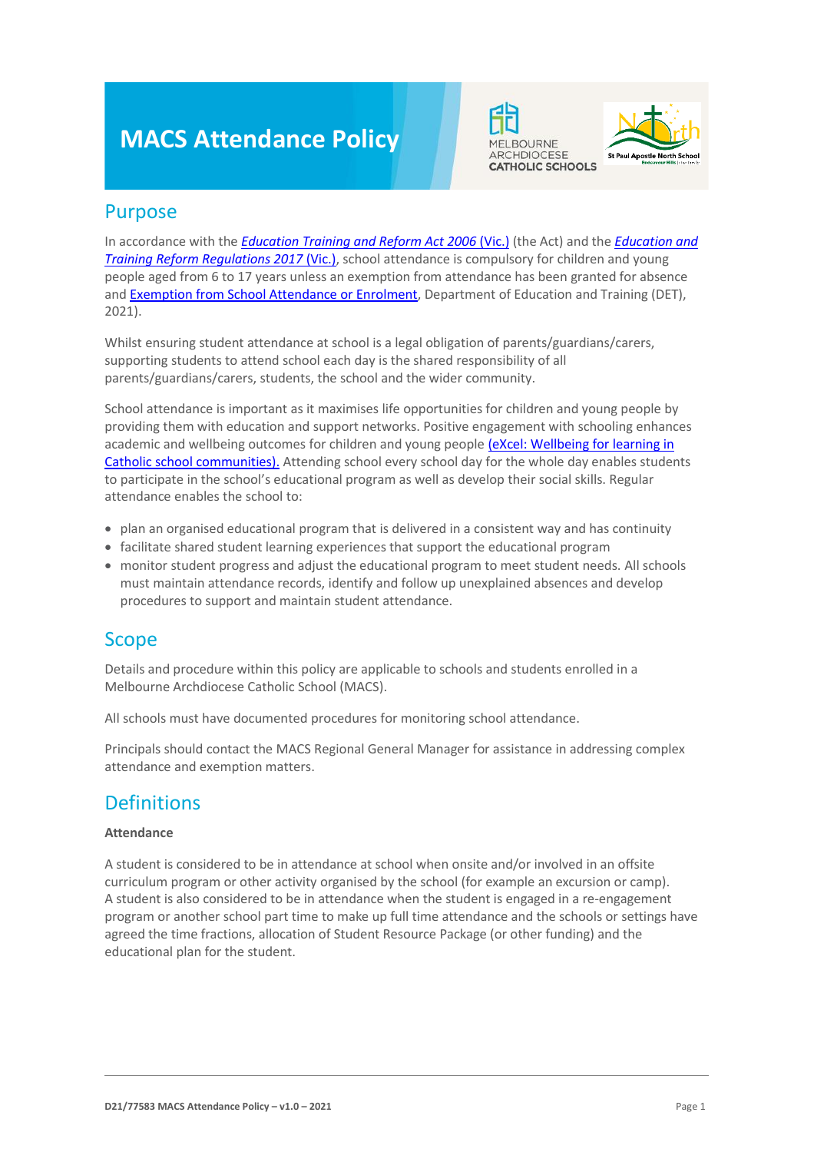# **MACS Attendance Policy**





### Purpose

In accordance with the *[Education Training and Reform Act 2006](https://www.macs.vic.edu.au/CatholicEducationMelbourne/media/Documentation/Documents/eXcel-Wellbeing-for-learning_Guide_May-2018_CEM.pdf)* (Vic.) (the Act) and the *[Education and](https://www.education.vic.gov.au/about/department/legislation/Pages/act2006regs.aspx)  [Training Reform Regulations 2017](https://www.education.vic.gov.au/about/department/legislation/Pages/act2006regs.aspx)* (Vic.), school attendance is compulsory for children and young people aged from 6 to 17 years unless an exemption from attendance has been granted for absence and **Exemption from School Attendance or Enrolment**, Department of Education and Training (DET), 2021).

Whilst ensuring student attendance at school is a legal obligation of parents/guardians/carers, supporting students to attend school each day is the shared responsibility of all parents/guardians/carers, students, the school and the wider community.

School attendance is important as it maximises life opportunities for children and young people by providing them with education and support networks. Positive engagement with schooling enhances academic and wellbeing outcomes for children and young peopl[e \(eXcel: Wellbeing for learning in](https://www.macs.vic.edu.au/CatholicEducationMelbourne/media/Documentation/Documents/eXcel-Wellbeing-for-learning_Guide_May-2018_CEM.pdf)  [Catholic school communities\).](https://www.macs.vic.edu.au/CatholicEducationMelbourne/media/Documentation/Documents/eXcel-Wellbeing-for-learning_Guide_May-2018_CEM.pdf) Attending school every school day for the whole day enables students to participate in the school's educational program as well as develop their social skills. Regular attendance enables the school to:

- plan an organised educational program that is delivered in a consistent way and has continuity
- facilitate shared student learning experiences that support the educational program
- monitor student progress and adjust the educational program to meet student needs. All schools must maintain attendance records, identify and follow up unexplained absences and develop procedures to support and maintain student attendance.

# Scope

Details and procedure within this policy are applicable to schools and students enrolled in a Melbourne Archdiocese Catholic School (MACS).

All schools must have documented procedures for monitoring school attendance.

Principals should contact the MACS Regional General Manager for assistance in addressing complex attendance and exemption matters.

# **Definitions**

#### **Attendance**

A student is considered to be in attendance at school when onsite and/or involved in an offsite curriculum program or other activity organised by the school (for example an excursion or camp). A student is also considered to be in attendance when the student is engaged in a re-engagement program or another school part time to make up full time attendance and the schools or settings have agreed the time fractions, allocation of Student Resource Package (or other funding) and the educational plan for the student.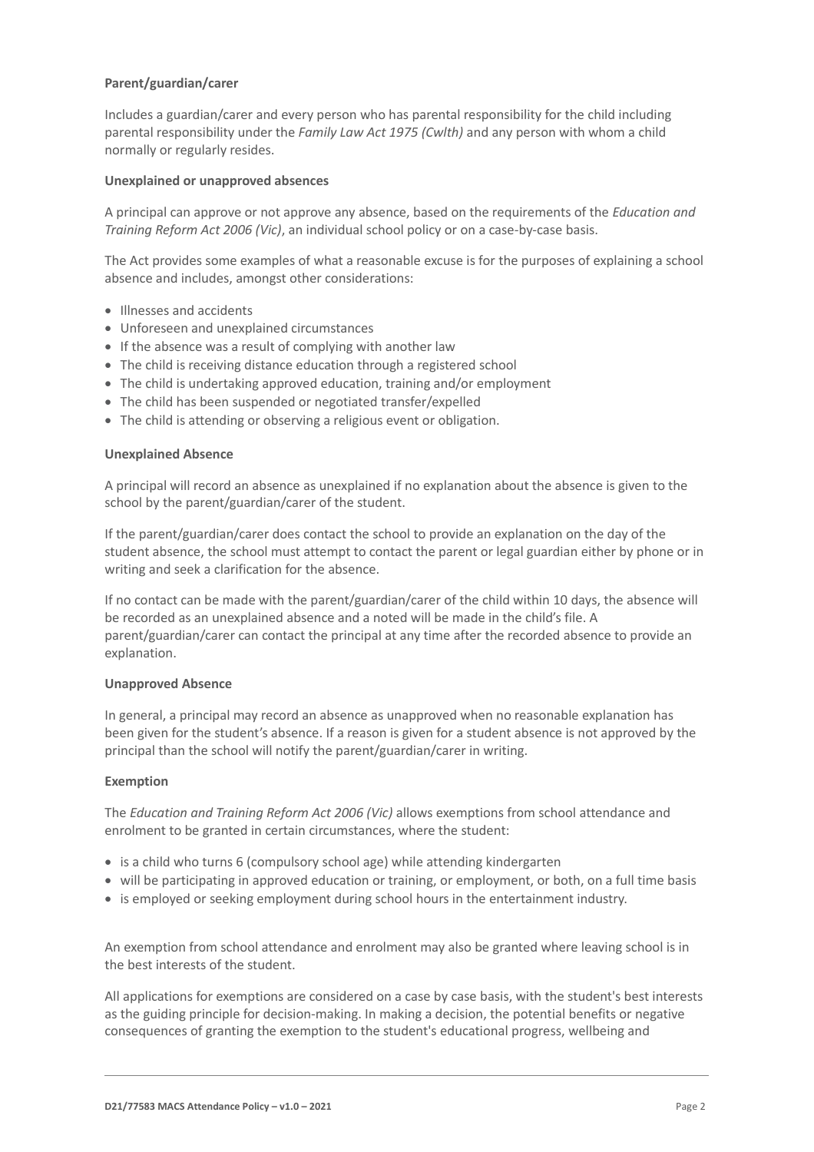#### **Parent/guardian/carer**

Includes a guardian/carer and every person who has parental responsibility for the child including parental responsibility under the *Family Law Act 1975 (Cwlth)* and any person with whom a child normally or regularly resides.

#### **Unexplained or unapproved absences**

A principal can approve or not approve any absence, based on the requirements of the *Education and Training Reform Act 2006 (Vic)*, an individual school policy or on a case-by-case basis.

The Act provides some examples of what a reasonable excuse is for the purposes of explaining a school absence and includes, amongst other considerations:

- Illnesses and accidents
- Unforeseen and unexplained circumstances
- If the absence was a result of complying with another law
- The child is receiving distance education through a registered school
- The child is undertaking approved education, training and/or employment
- The child has been suspended or negotiated transfer/expelled
- The child is attending or observing a religious event or obligation.

#### **Unexplained Absence**

A principal will record an absence as unexplained if no explanation about the absence is given to the school by the parent/guardian/carer of the student.

If the parent/guardian/carer does contact the school to provide an explanation on the day of the student absence, the school must attempt to contact the parent or legal guardian either by phone or in writing and seek a clarification for the absence.

If no contact can be made with the parent/guardian/carer of the child within 10 days, the absence will be recorded as an unexplained absence and a noted will be made in the child's file. A parent/guardian/carer can contact the principal at any time after the recorded absence to provide an explanation.

#### **Unapproved Absence**

In general, a principal may record an absence as unapproved when no reasonable explanation has been given for the student's absence. If a reason is given for a student absence is not approved by the principal than the school will notify the parent/guardian/carer in writing.

#### **Exemption**

The *Education and Training Reform Act 2006 (Vic)* allows exemptions from school attendance and enrolment to be granted in certain circumstances, where the student:

- is a child who turns 6 (compulsory school age) while attending kindergarten
- will be participating in approved education or training, or employment, or both, on a full time basis
- is employed or seeking employment during school hours in the entertainment industry.

An exemption from school attendance and enrolment may also be granted where leaving school is in the best interests of the student.

All applications for exemptions are considered on a case by case basis, with the student's best interests as the guiding principle for decision-making. In making a decision, the potential benefits or negative consequences of granting the exemption to the student's educational progress, wellbeing and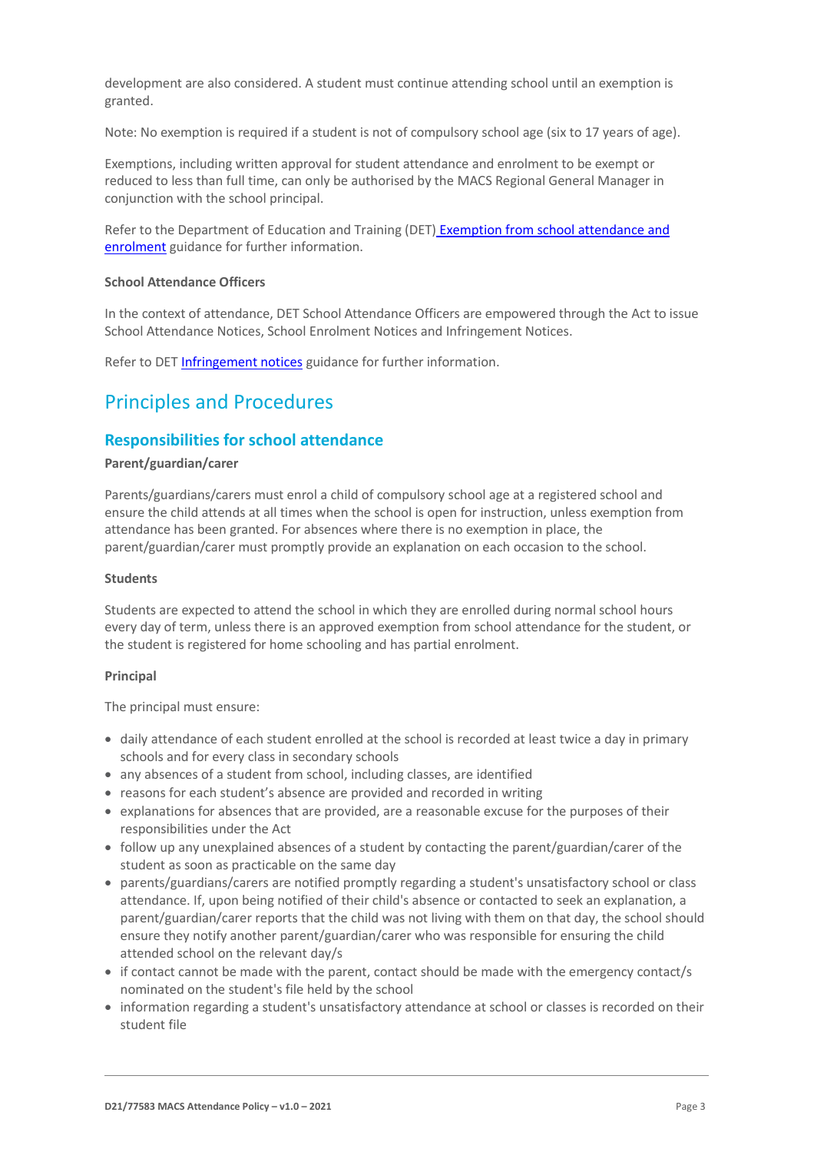development are also considered. A student must continue attending school until an exemption is granted.

Note: No exemption is required if a student is not of compulsory school age (six to 17 years of age).

Exemptions, including written approval for student attendance and enrolment to be exempt or reduced to less than full time, can only be authorised by the MACS Regional General Manager in conjunction with the school principal.

Refer to the Department of Education and Training (DET) [Exemption from school attendance and](https://www2.education.vic.gov.au/pal/exemption-school-attendance-and-enrolment/guidance/1-exemption-categories)  [enrolment](https://www2.education.vic.gov.au/pal/exemption-school-attendance-and-enrolment/guidance/1-exemption-categories) guidance for further information.

#### **School Attendance Officers**

In the context of attendance, DET School Attendance Officers are empowered through the Act to issue School Attendance Notices, School Enrolment Notices and Infringement Notices.

Refer to DE[T Infringement notices](https://www2.education.vic.gov.au/pal/attendance/guidance/10-infringement-notices) guidance for further information.

### Principles and Procedures

#### **Responsibilities for school attendance**

#### **Parent/guardian/carer**

Parents/guardians/carers must enrol a child of compulsory school age at a registered school and ensure the child attends at all times when the school is open for instruction, unless exemption from attendance has been granted. For absences where there is no exemption in place, the parent/guardian/carer must promptly provide an explanation on each occasion to the school.

#### **Students**

Students are expected to attend the school in which they are enrolled during normal school hours every day of term, unless there is an approved exemption from school attendance for the student, or the student is registered for home schooling and has partial enrolment.

#### **Principal**

The principal must ensure:

- daily attendance of each student enrolled at the school is recorded at least twice a day in primary schools and for every class in secondary schools
- any absences of a student from school, including classes, are identified
- reasons for each student's absence are provided and recorded in writing
- explanations for absences that are provided, are a reasonable excuse for the purposes of their responsibilities under the Act
- follow up any unexplained absences of a student by contacting the parent/guardian/carer of the student as soon as practicable on the same day
- parents/guardians/carers are notified promptly regarding a student's unsatisfactory school or class attendance. If, upon being notified of their child's absence or contacted to seek an explanation, a parent/guardian/carer reports that the child was not living with them on that day, the school should ensure they notify another parent/guardian/carer who was responsible for ensuring the child attended school on the relevant day/s
- if contact cannot be made with the parent, contact should be made with the emergency contact/s nominated on the student's file held by the school
- information regarding a student's unsatisfactory attendance at school or classes is recorded on their student file